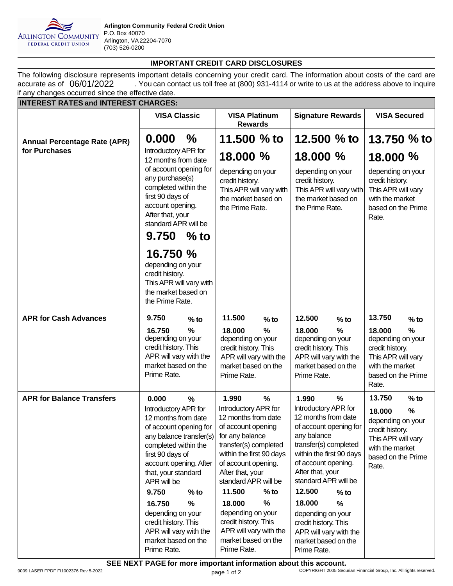

## **IMPORTANT CREDIT CARD DISCLOSURES**

accurate as of  $\frac{06}{01/2022}$  . You can contact us toll free at (800) 931-4114 or write to us at the address above to inquire The following disclosure represents important details concerning your credit card. The information about costs of the card are if any changes occurred since the effective date.

| <b>INTEREST RATES and INTEREST CHARGES:</b>                                                                         |                                                                                                                                                                                                              |                                             |                                                                                                                                                                                                              |          |                                                                                                                                                                                                              |        |                                                                                                                             |        |
|---------------------------------------------------------------------------------------------------------------------|--------------------------------------------------------------------------------------------------------------------------------------------------------------------------------------------------------------|---------------------------------------------|--------------------------------------------------------------------------------------------------------------------------------------------------------------------------------------------------------------|----------|--------------------------------------------------------------------------------------------------------------------------------------------------------------------------------------------------------------|--------|-----------------------------------------------------------------------------------------------------------------------------|--------|
|                                                                                                                     | <b>VISA Classic</b>                                                                                                                                                                                          |                                             | <b>VISA Platinum</b><br><b>Rewards</b>                                                                                                                                                                       |          | <b>Signature Rewards</b>                                                                                                                                                                                     |        | <b>VISA Secured</b>                                                                                                         |        |
| <b>Annual Percentage Rate (APR)</b>                                                                                 | 0.000                                                                                                                                                                                                        | $\%$                                        | 11.500 % to                                                                                                                                                                                                  |          | 12,500 $%$ to                                                                                                                                                                                                |        | 13,750 $%$ to                                                                                                               |        |
| for Purchases                                                                                                       |                                                                                                                                                                                                              | Introductory APR for<br>12 months from date |                                                                                                                                                                                                              | 18.000 % | 18.000 %                                                                                                                                                                                                     |        | 18.000 %                                                                                                                    |        |
|                                                                                                                     | of account opening for<br>any purchase(s)<br>completed within the<br>first 90 days of<br>account opening.<br>After that, your<br>standard APR will be<br>9.750<br>$%$ to                                     |                                             | depending on your<br>credit history.<br>This APR will vary with<br>the market based on<br>the Prime Rate.                                                                                                    |          | depending on your<br>credit history.<br>This APR will vary with<br>the market based on<br>the Prime Rate.                                                                                                    |        | depending on your<br>credit history.<br>This APR will vary<br>with the market<br>based on the Prime<br>Rate.                |        |
| 16.750 %<br>depending on your<br>credit history.<br>the market based on<br>the Prime Rate.                          |                                                                                                                                                                                                              | This APR will vary with                     |                                                                                                                                                                                                              |          |                                                                                                                                                                                                              |        |                                                                                                                             |        |
| <b>APR for Cash Advances</b>                                                                                        | 9.750                                                                                                                                                                                                        | $%$ to                                      | 11.500                                                                                                                                                                                                       | $%$ to   | 12.500                                                                                                                                                                                                       | $%$ to | 13.750                                                                                                                      | $%$ to |
|                                                                                                                     | %<br>16.750<br>depending on your<br>credit history. This<br>APR will vary with the<br>market based on the<br>Prime Rate.                                                                                     |                                             | $\frac{9}{6}$<br>18,000<br>depending on your<br>credit history. This<br>APR will vary with the<br>market based on the<br>Prime Rate.                                                                         |          | %<br>18.000<br>depending on your<br>credit history. This<br>APR will vary with the<br>market based on the<br>Prime Rate.                                                                                     |        | %<br>18.000<br>depending on your<br>credit history.<br>This APR will vary<br>with the market<br>based on the Prime<br>Rate. |        |
| <b>APR for Balance Transfers</b>                                                                                    | 0.000                                                                                                                                                                                                        | $\frac{9}{6}$                               | 1.990                                                                                                                                                                                                        | %        | 1.990                                                                                                                                                                                                        | %      | 13.750                                                                                                                      | $%$ to |
|                                                                                                                     | Introductory APR for<br>12 months from date<br>of account opening for<br>any balance transfer(s)<br>completed within the<br>first 90 days of<br>account opening. After<br>that, your standard<br>APR will be |                                             | Introductory APR for<br>12 months from date<br>of account opening<br>for any balance<br>transfer(s) completed<br>within the first 90 days<br>of account opening.<br>After that, your<br>standard APR will be |          | Introductory APR for<br>12 months from date<br>of account opening for<br>any balance<br>transfer(s) completed<br>within the first 90 days<br>of account opening.<br>After that, your<br>standard APR will be |        | %<br>18.000<br>depending on your<br>credit history.<br>This APR will vary<br>with the market<br>based on the Prime<br>Rate. |        |
|                                                                                                                     | 9.750                                                                                                                                                                                                        | $%$ to                                      | 11.500                                                                                                                                                                                                       | $%$ to   | 12.500                                                                                                                                                                                                       | $%$ to |                                                                                                                             |        |
| 16.750<br>depending on your<br>credit history. This<br>APR will vary with the<br>market based on the<br>Prime Rate. |                                                                                                                                                                                                              | %                                           | %<br>18.000<br>depending on your<br>credit history. This<br>APR will vary with the<br>market based on the<br>Prime Rate.                                                                                     |          | 18.000<br>$\%$<br>depending on your<br>credit history. This<br>APR will vary with the<br>market based on the<br>Prime Rate.                                                                                  |        |                                                                                                                             |        |

9009 LASER FPDF FI1002376 Rev 5-2022 COPYRIGHT 2005 Securian Financial Group, Inc. All rights reserved. **SEE NEXT PAGE for more important information about this account.**